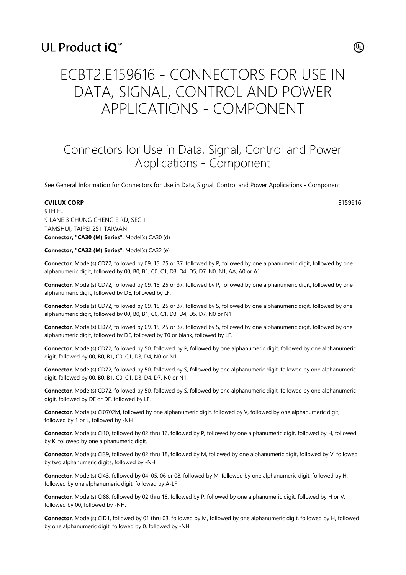### UL Product iQ<sup>™</sup>

# ECBT2.E159616 - CONNECTORS FOR USE IN DATA, SIGNAL, CONTROL AND POWER APPLICATIONS - COMPONENT

## Connectors for Use in Data, Signal, Control and Power Applications - Component

See General Information for Connectors for Use in Data, Signal, Control and Power Applications - Component

#### **CVILUX CORP** E159616

9TH FL 9 LANE 3 CHUNG CHENG E RD, SEC 1 TAMSHUI, TAIPEI 251 TAIWAN **Connector, "CA30 (M) Series"**, Model(s) CA30 (d)

**Connector, "CA32 (M) Series"**, Model(s) CA32 (e)

**Connector**, Model(s) CD72, followed by 09, 15, 25 or 37, followed by P, followed by one alphanumeric digit, followed by one alphanumeric digit, followed by 00, B0, B1, C0, C1, D3, D4, D5, D7, N0, N1, AA, A0 or A1.

**Connector**, Model(s) CD72, followed by 09, 15, 25 or 37, followed by P, followed by one alphanumeric digit, followed by one alphanumeric digit, followed by DE, followed by LF.

**Connector**, Model(s) CD72, followed by 09, 15, 25 or 37, followed by S, followed by one alphanumeric digit, followed by one alphanumeric digit, followed by 00, B0, B1, C0, C1, D3, D4, D5, D7, N0 or N1.

**Connector**, Model(s) CD72, followed by 09, 15, 25 or 37, followed by S, followed by one alphanumeric digit, followed by one alphanumeric digit, followed by DE, followed by T0 or blank, followed by LF.

**Connector**, Model(s) CD72, followed by 50, followed by P, followed by one alphanumeric digit, followed by one alphanumeric digit, followed by 00, B0, B1, C0, C1, D3, D4, N0 or N1.

**Connector**, Model(s) CD72, followed by 50, followed by S, followed by one alphanumeric digit, followed by one alphanumeric digit, followed by 00, B0, B1, C0, C1, D3, D4, D7, N0 or N1.

**Connector**, Model(s) CD72, followed by 50, followed by S, followed by one alphanumeric digit, followed by one alphanumeric digit, followed by DE or DF, followed by LF.

**Connector**, Model(s) CI0702M, followed by one alphanumeric digit, followed by V, followed by one alphanumeric digit, followed by 1 or L, followed by -NH

**Connector**, Model(s) CI10, followed by 02 thru 16, followed by P, followed by one alphanumeric digit, followed by H, followed by K, followed by one alphanumeric digit.

**Connector**, Model(s) CI39, followed by 02 thru 18, followed by M, followed by one alphanumeric digit, followed by V, followed by two alphanumeric digits, followed by -NH.

**Connector**, Model(s) CI43, followed by 04, 05, 06 or 08, followed by M, followed by one alphanumeric digit, followed by H, followed by one alphanumeric digit, followed by A-LF

**Connector**, Model(s) CI88, followed by 02 thru 18, followed by P, followed by one alphanumeric digit, followed by H or V, followed by 00, followed by -NH.

**Connector**, Model(s) CID1, followed by 01 thru 03, followed by M, followed by one alphanumeric digit, followed by H, followed by one alphanumeric digit, followed by 0, followed by -NH

 $(\mathsf{u})$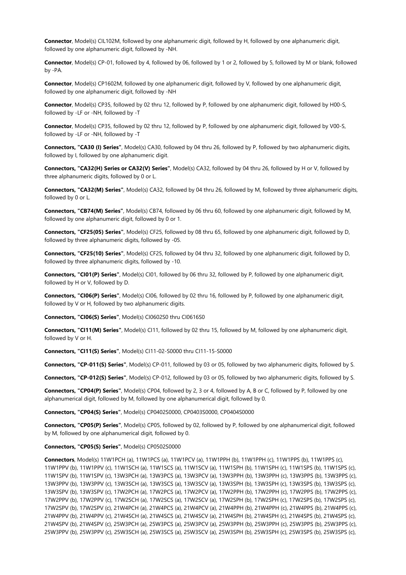**Connector**, Model(s) CIL102M, followed by one alphanumeric digit, followed by H, followed by one alphanumeric digit, followed by one alphanumeric digit, followed by -NH.

**Connector**, Model(s) CP-01, followed by 4, followed by 06, followed by 1 or 2, followed by 5, followed by M or blank, followed by -PA.

**Connector**, Model(s) CP1602M, followed by one alphanumeric digit, followed by V, followed by one alphanumeric digit, followed by one alphanumeric digit, followed by -NH

**Connector**, Model(s) CP35, followed by 02 thru 12, followed by P, followed by one alphanumeric digit, followed by H00-S, followed by -LF or -NH, followed by -T

**Connector**, Model(s) CP35, followed by 02 thru 12, followed by P, followed by one alphanumeric digit, followed by V00-S, followed by -LF or -NH, followed by -T

**Connectors, "CA30 (I) Series"**, Model(s) CA30, followed by 04 thru 26, followed by P, followed by two alphanumeric digits, followed by I, followed by one alphanumeric digit.

**Connectors, "CA32(H) Series or CA32(V) Series"**, Model(s) CA32, followed by 04 thru 26, followed by H or V, followed by three alphanumeric digits, followed by 0 or L.

**Connectors, "CA32(M) Series"**, Model(s) CA32, followed by 04 thru 26, followed by M, followed by three alphanumeric digits, followed by 0 or L.

**Connectors, "CB74(M) Series"**, Model(s) CB74, followed by 06 thru 60, followed by one alphanumeric digit, followed by M, followed by one alphanumeric digit, followed by 0 or 1.

**Connectors, "CF25(05) Series"**, Model(s) CF25, followed by 08 thru 65, followed by one alphanumeric digit, followed by D, followed by three alphanumeric digits, followed by -05.

**Connectors, "CF25(10) Series"**, Model(s) CF25, followed by 04 thru 32, followed by one alphanumeric digit, followed by D, followed by three alphanumeric digits, followed by -10.

**Connectors, "CI01(P) Series"**, Model(s) CI01, followed by 06 thru 32, followed by P, followed by one alphanumeric digit, followed by H or V, followed by D.

**Connectors, "CI06(P) Series"**, Model(s) CI06, followed by 02 thru 16, followed by P, followed by one alphanumeric digit, followed by V or H, followed by two alphanumeric digits.

**Connectors, "CI06(S) Series"**, Model(s) CI0602S0 thru CI0616S0

**Connectors, "CI11(M) Series"**, Model(s) CI11, followed by 02 thru 15, followed by M, followed by one alphanumeric digit, followed by V or H.

**Connectors, "CI11(S) Series"**, Model(s) CI11-02-S0000 thru CI11-15-S0000

**Connectors, "CP-011(S) Series"**, Model(s) CP-011, followed by 03 or 05, followed by two alphanumeric digits, followed by S.

**Connectors, "CP-012(S) Series"**, Model(s) CP-012, followed by 03 or 05, followed by two alphanumeric digits, followed by S.

**Connectors, "CP04(P) Series"**, Model(s) CP04, followed by 2, 3 or 4, followed by A, B or C, followed by P, followed by one alphanumerical digit, followed by M, followed by one alphanumerical digit, followed by 0.

**Connectors, "CP04(S) Series"**, Model(s) CP0402S0000, CP0403S0000, CP0404S0000

**Connectors, "CP05(P) Series"**, Model(s) CP05, followed by 02, followed by P, followed by one alphanumerical digit, followed by M, followed by one alphanumerical digit, followed by 0.

#### **Connectors, "CP05(S) Series"**, Model(s) CP0502S0000

**Connectors**, Model(s) 11W1PCH (a), 11W1PCS (a), 11W1PCV (a), 11W1PPH (b), 11W1PPH (c), 11W1PPS (b), 11W1PPS (c), 11W1PPV (b), 11W1PPV (c), 11W1SCH (a), 11W1SCS (a), 11W1SCV (a), 11W1SPH (b), 11W1SPH (c), 11W1SPS (b), 11W1SPS (c), 11W1SPV (b), 11W1SPV (c), 13W3PCH (a), 13W3PCS (a), 13W3PCV (a), 13W3PPH (b), 13W3PPH (c), 13W3PPS (b), 13W3PPS (c), 13W3PPV (b), 13W3PPV (c), 13W3SCH (a), 13W3SCS (a), 13W3SCV (a), 13W3SPH (b), 13W3SPH (c), 13W3SPS (b), 13W3SPS (c), 13W3SPV (b), 13W3SPV (c), 17W2PCH (a), 17W2PCS (a), 17W2PCV (a), 17W2PPH (b), 17W2PPH (c), 17W2PPS (b), 17W2PPS (c), 17W2PPV (b), 17W2PPV (c), 17W2SCH (a), 17W2SCS (a), 17W2SCV (a), 17W2SPH (b), 17W2SPH (c), 17W2SPS (b), 17W2SPS (c), 17W2SPV (b), 17W2SPV (c), 21W4PCH (a), 21W4PCS (a), 21W4PCV (a), 21W4PPH (b), 21W4PPH (c), 21W4PPS (b), 21W4PPS (c), 21W4PPV (b), 21W4PPV (c), 21W4SCH (a), 21W4SCS (a), 21W4SCV (a), 21W4SPH (b), 21W4SPH (c), 21W4SPS (b), 21W4SPS (c), 21W4SPV (b), 21W4SPV (c), 25W3PCH (a), 25W3PCS (a), 25W3PCV (a), 25W3PPH (b), 25W3PPH (c), 25W3PPS (b), 25W3PPS (c), 25W3PPV (b), 25W3PPV (c), 25W3SCH (a), 25W3SCS (a), 25W3SCV (a), 25W3SPH (b), 25W3SPH (c), 25W3SPS (b), 25W3SPS (c),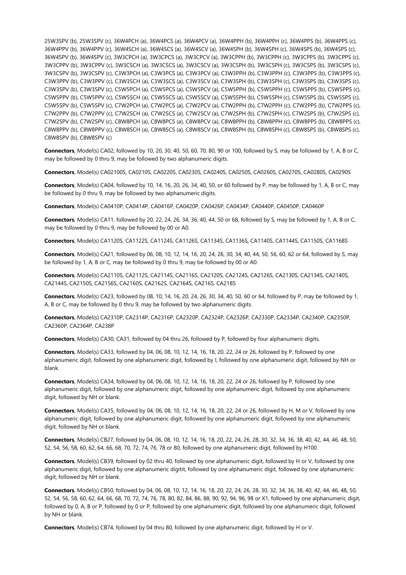25W3SPV (b), 25W3SPV (c), 36W4PCH (a), 36W4PCS (a), 36W4PCV (a), 36W4PPH (b), 36W4PPH (c), 36W4PPS (b), 36W4PPS (c), 36W4PPV (b), 36W4PPV (c), 36W4SCH (a), 36W4SCS (a), 36W4SCV (a), 36W4SPH (b), 36W4SPH (c), 36W4SPS (b), 36W4SPS (c), 36W4SPV (b), 36W4SPV (c), 3W3CPCH (a), 3W3CPCS (a), 3W3CPCV (a), 3W3CPPH (b), 3W3CPPH (c), 3W3CPPS (b), 3W3CPPS (c), 3W3CPPV (b), 3W3CPPV (c), 3W3CSCH (a), 3W3CSCS (a), 3W3CSCV (a), 3W3CSPH (b), 3W3CSPH (c), 3W3CSPS (b), 3W3CSPS (c), 3W3CSPV (b), 3W3CSPV (c), C3W3PCH (a), C3W3PCS (a), C3W3PCV (a), C3W3PPH (b), C3W3PPH (c), C3W3PPS (b), C3W3PPS (c), C3W3PPV (b), C3W3PPV (c), C3W3SCH (a), C3W3SCS (a), C3W3SCV (a), C3W3SPH (b), C3W3SPH (c), C3W3SPS (b), C3W3SPS (c), C3W3SPV (b), C3W3SPV (c), C5W5PCH (a), C5W5PCS (a), C5W5PCV (a), C5W5PPH (b), C5W5PPH (c), C5W5PPS (b), C5W5PPS (c), C5W5PPV (b), C5W5PPV (c), C5W5SCH (a), C5W5SCS (a), C5W5SCV (a), C5W5SPH (b), C5W5SPH (c), C5W5SPS (b), C5W5SPS (c), C5W5SPV (b), C5W5SPV (c), C7W2PCH (a), C7W2PCS (a), C7W2PCV (a), C7W2PPH (b), C7W2PPH (c), C7W2PPS (b), C7W2PPS (c), C7W2PPV (b), C7W2PPV (c), C7W2SCH (a), C7W2SCS (a), C7W2SCV (a), C7W2SPH (b), C7W2SPH (c), C7W2SPS (b), C7W2SPS (c), C7W2SPV (b), C7W2SPV (c), C8W8PCH (a), C8W8PCS (a), C8W8PCV (a), C8W8PPH (b), C8W8PPH (c), C8W8PPS (b), C8W8PPS (c), C8W8PPV (b), C8W8PPV (c), C8W8SCH (a), C8W8SCS (a), C8W8SCV (a), C8W8SPH (b), C8W8SPH (c), C8W8SPS (b), C8W8SPS (c), C8W8SPV (b), C8W8SPV (c)

**Connectors**, Model(s) CA02, followed by 10, 20, 30, 40, 50, 60, 70, 80, 90 or 100, followed by S, may be followed by 1, A, B or C, may be followed by 0 thru 9, may be followed by two alphanumeric digits.

**Connectors**, Model(s) CA02100S, CA0210S, CA0220S, CA0230S, CA0240S, CA0250S, CA0260S, CA0270S, CA0280S, CA0290S

**Connectors**, Model(s) CA04, followed by 10, 14, 16, 20, 26, 34, 40, 50, or 60 followed by P, may be followed by 1, A, B or C, may be followed by 0 thru 9, may be followed by two alphanumeric digits.

**Connectors**, Model(s) CA0410P, CA0414P, CA0416P, CA0420P, CA0426P, CA0434P, CA0440P, CA0450P, CA0460P

**Connectors**, Model(s) CA11, followed by 20, 22, 24, 26, 34, 36, 40, 44, 50 or 68, followed by S, may be followed by 1, A, B or C, may be followed by 0 thru 9, may be followed by 00 or A0.

**Connectors**, Model(s) CA1120S, CA1122S, CA1124S, CA1126S, CA1134S, CA1136S, CA1140S, CA1144S, CA1150S, CA1168S

**Connectors**, Model(s) CA21, followed by 06, 08, 10, 12, 14, 16, 20, 24, 26, 30, 34, 40, 44, 50, 56, 60, 62 or 64, followed by S, may be followed by 1, A, B or C, may be followed by 0 thru 9, may be followed by 00 or A0.

**Connectors**, Model(s) CA2110S, CA2112S, CA2114S, CA2116S, CA2120S, CA2124S, CA2126S, CA2130S, CA2134S, CA2140S, CA2144S, CA2150S, CA2156S, CA2160S, CA2162S, CA2164S, CA216S, CA218S

**Connectors**, Model(s) CA23, followed by 08, 10, 14, 16, 20, 24, 26, 30, 34, 40, 50, 60 or 64, followed by P, may be followed by 1, A, B or C, may be followed by 0 thru 9, may be followed by two alphanumeric digits.

**Connectors**, Model(s) CA2310P, CA2314P, CA2316P, CA2320P, CA2324P, CA2326P, CA2330P, CA2334P, CA2340P, CA2350P, CA2360P, CA2364P, CA238P

**Connectors**, Model(s) CA30, CA31, followed by 04 thru 26, followed by P, followed by four alphanumeric digits.

**Connectors**, Model(s) CA33, followed by 04, 06, 08, 10, 12, 14, 16, 18, 20, 22, 24 or 26, followed by P, followed by one alphanumeric digit, followed by one alphanumeric digit, followed by I, followed by one alphanumeric digit, followed by NH or blank.

**Connectors**, Model(s) CA34, followed by 04, 06, 08, 10, 12, 14, 16, 18, 20, 22, 24 or 26, followed by P, followed by one alphanumeric digit, followed by one alphanumeric digit, followed by one alphanumeric digit, followed by one alphanumeric digit, followed by NH or blank.

**Connectors**, Model(s) CA35, followed by 04, 06, 08, 10, 12, 14, 16, 18, 20, 22, 24 or 26, followed by H, M or V, followed by one alphanumeric digit, followed by one alphanumeric digit, followed by one alphanumeric digit, followed by one alphanumeric digit, followed by NH or blank.

**Connectors**, Model(s) CB27, followed by 04, 06, 08, 10, 12, 14, 16, 18, 20, 22, 24, 26, 28, 30, 32, 34, 36, 38, 40, 42, 44, 46, 48, 50, 52, 54, 56, 58, 60, 62, 64, 66, 68, 70, 72, 74, 76, 78 or 80, followed by one alphanumeric digit, followed by H100.

**Connectors**, Model(s) CB39, followed by 02 thru 40, followed by one alphanumeric digit, followed by H or V, followed by one alphanumeric digit, followed by one alphanumeric digitit, followed by one alphanumeric digit, followed by one alphanumeric digit, followed by NH or blank.

**Connectors**, Model(s) CB50, followed by 04, 06, 08, 10, 12, 14, 16, 18, 20, 22, 24, 26, 28, 30, 32, 34, 36, 38, 40, 42, 44, 46, 48, 50, 52, 54, 56, 58, 60, 62, 64, 66, 68, 70, 72, 74, 76, 78, 80, 82, 84, 86, 88, 90, 92, 94, 96, 98 or X1, followed by one alphanumeric digit, followed by 0, A, B or P, followed by 0 or P, followed by one alphanumeric digit, followed by one alphanumeric digit, followed by NH or blank.

**Connectors**, Model(s) CB74, followed by 04 thru 80, followed by one alphanumeric digit, followed by H or V.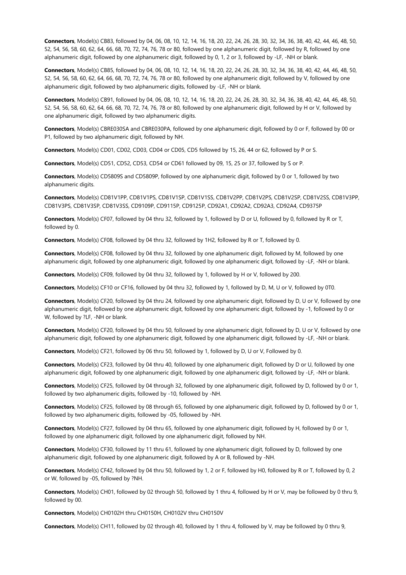**Connectors**, Model(s) CB83, followed by 04, 06, 08, 10, 12, 14, 16, 18, 20, 22, 24, 26, 28, 30, 32, 34, 36, 38, 40, 42, 44, 46, 48, 50, 52, 54, 56, 58, 60, 62, 64, 66, 68, 70, 72, 74, 76, 78 or 80, followed by one alphanumeric digit, followed by R, followed by one alphanumeric digit, followed by one alphanumeric digit, followed by 0, 1, 2 or 3, followed by -LF, -NH or blank.

**Connectors**, Model(s) CB85, followed by 04, 06, 08, 10, 12, 14, 16, 18, 20, 22, 24, 26, 28, 30, 32, 34, 36, 38, 40, 42, 44, 46, 48, 50, 52, 54, 56, 58, 60, 62, 64, 66, 68, 70, 72, 74, 76, 78 or 80, followed by one alphanumeric digit, followed by V, followed by one alphanumeric digit, followed by two alphanumeric digits, followed by -LF, -NH or blank.

**Connectors**, Model(s) CB91, followed by 04, 06, 08, 10, 12, 14, 16, 18, 20, 22, 24, 26, 28, 30, 32, 34, 36, 38, 40, 42, 44, 46, 48, 50, 52, 54, 56, 58, 60, 62, 64, 66, 68, 70, 72, 74, 76, 78 or 80, followed by one alphanumeric digit, followed by H or V, followed by one alphanumeric digit, followed by two alphanumeric digits.

**Connectors**, Model(s) CBRE030SA and CBRE030PA, followed by one alphanumeric digit, followed by 0 or F, followed by 00 or P1, followed by two alphanumeric digit, followed by NH.

**Connectors**, Model(s) CD01, CD02, CD03, CD04 or CD05, CD5 followed by 15, 26, 44 or 62, followed by P or S.

**Connectors**, Model(s) CD51, CD52, CD53, CD54 or CD61 followed by 09, 15, 25 or 37, followed by S or P.

**Connectors**, Model(s) CD5809S and CD5809P, followed by one alphanumeric digit, followed by 0 or 1, followed by two alphanumeric digits.

**Connectors**, Model(s) CD81V1PP, CD81V1PS, CD81V1SP, CD81V1SS, CD81V2PP, CD81V2PS, CD81V2SP, CD81V2SS, CD81V3PP, CD81V3PS, CD81V3SP, CD81V3SS, CD9109P, CD9115P, CD9125P, CD92A1, CD92A2, CD92A3, CD92A4, CD9375P

**Connectors**, Model(s) CF07, followed by 04 thru 32, followed by 1, followed by D or U, followed by 0, followed by R or T, followed by 0.

**Connectors**, Model(s) CF08, followed by 04 thru 32, followed by 1H2, followed by R or T, followed by 0.

**Connectors**, Model(s) CF08, followed by 04 thru 32, followed by one alphanumeric digit, followed by M, followed by one alphanumeric digit, followed by one alphanumeric digit, followed by one alphanumeric digit, followed by -LF, -NH or blank.

**Connectors**, Model(s) CF09, followed by 04 thru 32, followed by 1, followed by H or V, followed by 200.

**Connectors**, Model(s) CF10 or CF16, followed by 04 thru 32, followed by 1, followed by D, M, U or V, followed by 0T0.

**Connectors**, Model(s) CF20, followed by 04 thru 24, followed by one alphanumeric digit, followed by D, U or V, followed by one alphanumeric digit, followed by one alphanumeric digit, followed by one alphanumeric digit, followed by -1, followed by 0 or W, followed by ?LF, -NH or blank.

**Connectors**, Model(s) CF20, followed by 04 thru 50, followed by one alphanumeric digit, followed by D, U or V, followed by one alphanumeric digit, followed by one alphanumeric digit, followed by one alphanumeric digit, followed by -LF, -NH or blank.

**Connectors**, Model(s) CF21, followed by 06 thru 50, followed by 1, followed by D, U or V, Followed by 0.

**Connectors**, Model(s) CF23, followed by 04 thru 40, followed by one alphanumeric digit, followed by D or U, followed by one alphanumeric digit, followed by one alphanumeric digit, followed by one alphanumeric digit, followed by -LF, -NH or blank.

**Connectors**, Model(s) CF25, followed by 04 through 32, followed by one alphanumeric digit, followed by D, followed by 0 or 1, followed by two alphanumeric digits, followed by -10, followed by -NH.

**Connectors**, Model(s) CF25, followed by 08 through 65, followed by one alphanumeric digit, followed by D, followed by 0 or 1, followed by two alphanumeric digits, followed by -05, followed by -NH.

**Connectors**, Model(s) CF27, followed by 04 thru 65, followed by one alphanumeric digit, followed by H, followed by 0 or 1, followed by one alphanumeric digit, followed by one alphanumeric digit, followed by NH.

**Connectors**, Model(s) CF30, followed by 11 thru 61, followed by one alphanumeric digit, followed by D, followed by one alphanumeric digit, followed by one alphanumeric digit, followed by A or B, followed by -NH.

**Connectors**, Model(s) CF42, followed by 04 thru 50, followed by 1, 2 or F, followed by H0, followed by R or T, followed by 0, 2 or W, followed by -05, followed by ?NH.

**Connectors**, Model(s) CH01, followed by 02 through 50, followed by 1 thru 4, followed by H or V, may be followed by 0 thru 9, followed by 00.

**Connectors**, Model(s) CH0102H thru CH0150H, CH0102V thru CH0150V

**Connectors**, Model(s) CH11, followed by 02 through 40, followed by 1 thru 4, followed by V, may be followed by 0 thru 9,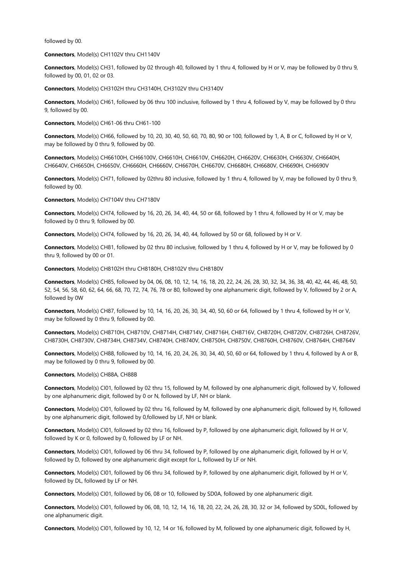followed by 00.

**Connectors**, Model(s) CH1102V thru CH1140V

**Connectors**, Model(s) CH31, followed by 02 through 40, followed by 1 thru 4, followed by H or V, may be followed by 0 thru 9, followed by 00, 01, 02 or 03.

**Connectors**, Model(s) CH3102H thru CH3140H, CH3102V thru CH3140V

**Connectors**, Model(s) CH61, followed by 06 thru 100 inclusive, followed by 1 thru 4, followed by V, may be followed by 0 thru 9, followed by 00.

**Connectors**, Model(s) CH61-06 thru CH61-100

**Connectors**, Model(s) CH66, followed by 10, 20, 30, 40, 50, 60, 70, 80, 90 or 100, followed by 1, A, B or C, followed by H or V, may be followed by 0 thru 9, followed by 00.

**Connectors**, Model(s) CH66100H, CH66100V, CH6610H, CH6610V, CH6620H, CH6620V, CH6630H, CH6630V, CH6640H, CH6640V, CH6650H, CH6650V, CH6660H, CH6660V, CH6670H, CH6670V, CH6680H, CH6680V, CH6690H, CH6690V

**Connectors**, Model(s) CH71, followed by 02thru 80 inclusive, followed by 1 thru 4, followed by V, may be followed by 0 thru 9, followed by 00.

**Connectors**, Model(s) CH7104V thru CH7180V

**Connectors**, Model(s) CH74, followed by 16, 20, 26, 34, 40, 44, 50 or 68, followed by 1 thru 4, followed by H or V, may be followed by 0 thru 9, followed by 00.

**Connectors**, Model(s) CH74, followed by 16, 20, 26, 34, 40, 44, followed by 50 or 68, followed by H or V.

Connectors, Model(s) CH81, followed by 02 thru 80 inclusive, followed by 1 thru 4, followed by H or V, may be followed by 0 thru 9, followed by 00 or 01.

**Connectors**, Model(s) CH8102H thru CH8180H, CH8102V thru CH8180V

**Connectors**, Model(s) CH85, followed by 04, 06, 08, 10, 12, 14, 16, 18, 20, 22, 24, 26, 28, 30, 32, 34, 36, 38, 40, 42, 44, 46, 48, 50, 52, 54, 56, 58, 60, 62, 64, 66, 68, 70, 72, 74, 76, 78 or 80, followed by one alphanumeric digit, followed by V, followed by 2 or A, followed by 0W

**Connectors**, Model(s) CH87, followed by 10, 14, 16, 20, 26, 30, 34, 40, 50, 60 or 64, followed by 1 thru 4, followed by H or V, may be followed by 0 thru 9, followed by 00.

**Connectors**, Model(s) CH8710H, CH8710V, CH8714H, CH8714V, CH8716H, CH8716V, CH8720H, CH8720V, CH8726H, CH8726V, CH8730H, CH8730V, CH8734H, CH8734V, CH8740H, CH8740V, CH8750H, CH8750V, CH8760H, CH8760V, CH8764H, CH8764V

**Connectors**, Model(s) CH88, followed by 10, 14, 16, 20, 24, 26, 30, 34, 40, 50, 60 or 64, followed by 1 thru 4, followed by A or B, may be followed by 0 thru 9, followed by 00.

**Connectors**, Model(s) CH88A, CH88B

**Connectors**, Model(s) CI01, followed by 02 thru 15, followed by M, followed by one alphanumeric digit, followed by V, followed by one alphanumeric digit, followed by 0 or N, followed by LF, NH or blank.

**Connectors**, Model(s) CI01, followed by 02 thru 16, followed by M, followed by one alphanumeric digit, followed by H, followed by one alphanumeric digit, followed by 0,followed by LF, NH or blank.

**Connectors**, Model(s) CI01, followed by 02 thru 16, followed by P, followed by one alphanumeric digit, followed by H or V, followed by K or 0, followed by 0, followed by LF or NH.

**Connectors**, Model(s) CI01, followed by 06 thru 34, followed by P, followed by one alphanumeric digit, followed by H or V, followed by D, followed by one alphanumeric digit except for L, followed by LF or NH.

**Connectors**, Model(s) CI01, followed by 06 thru 34, followed by P, followed by one alphanumeric digit, followed by H or V, followed by DL, followed by LF or NH.

**Connectors**, Model(s) CI01, followed by 06, 08 or 10, followed by SD0A, followed by one alphanumeric digit.

**Connectors**, Model(s) CI01, followed by 06, 08, 10, 12, 14, 16, 18, 20, 22, 24, 26, 28, 30, 32 or 34, followed by SD0L, followed by one alphanumeric digit.

**Connectors**, Model(s) CI01, followed by 10, 12, 14 or 16, followed by M, followed by one alphanumeric digit, followed by H,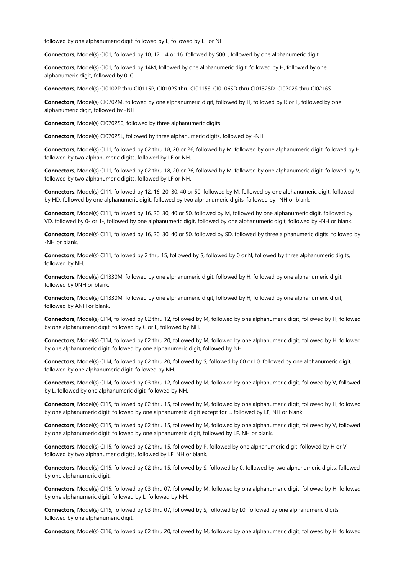followed by one alphanumeric digit, followed by L, followed by LF or NH.

**Connectors**, Model(s) CI01, followed by 10, 12, 14 or 16, followed by S00L, followed by one alphanumeric digit.

**Connectors**, Model(s) CI01, followed by 14M, followed by one alphanumeric digit, followed by H, followed by one alphanumeric digit, followed by 0LC.

**Connectors**, Model(s) CI0102P thru CI0115P, CI0102S thru CI0115S, CI0106SD thru CI0132SD, CI0202S thru CI0216S

**Connectors**, Model(s) CI0702M, followed by one alphanumeric digit, followed by H, followed by R or T, followed by one alphanumeric digit, followed by -NH

**Connectors**, Model(s) CI0702S0, followed by three alphanumeric digits

**Connectors**, Model(s) CI0702SL, followed by three alphanumeric digits, followed by -NH

**Connectors**, Model(s) CI11, followed by 02 thru 18, 20 or 26, followed by M, followed by one alphanumeric digit, followed by H, followed by two alphanumeric digits, followed by LF or NH.

**Connectors**, Model(s) CI11, followed by 02 thru 18, 20 or 26, followed by M, followed by one alphanumeric digit, followed by V, followed by two alphanumeric digits, followed by LF or NH.

**Connectors**, Model(s) CI11, followed by 12, 16, 20, 30, 40 or 50, followed by M, followed by one alphanumeric digit, followed by HD, followed by one alphanumeric digit, followed by two alphanumeric digits, followed by -NH or blank.

**Connectors**, Model(s) CI11, followed by 16, 20, 30, 40 or 50, followed by M, followed by one alphanumeric digit, followed by VD, followed by 0- or 1-, followed by one alphanumeric digit, followed by one alphanumeric digit, followed by -NH or blank.

**Connectors**, Model(s) CI11, followed by 16, 20, 30, 40 or 50, followed by SD, followed by three alphanumeric digits, followed by -NH or blank.

**Connectors**, Model(s) CI11, followed by 2 thru 15, followed by S, followed by 0 or N, followed by three alphanumeric digits, followed by NH.

**Connectors**, Model(s) CI1330M, followed by one alphanumeric digit, followed by H, followed by one alphanumeric digit, followed by 0NH or blank.

**Connectors**, Model(s) CI1330M, followed by one alphanumeric digit, followed by H, followed by one alphanumeric digit, followed by ANH or blank.

**Connectors**, Model(s) CI14, followed by 02 thru 12, followed by M, followed by one alphanumeric digit, followed by H, followed by one alphanumeric digit, followed by C or E, followed by NH.

**Connectors**, Model(s) CI14, followed by 02 thru 20, followed by M, followed by one alphanumeric digit, followed by H, followed by one alphanumeric digit, followed by one alphanumeric digit, followed by NH.

**Connectors**, Model(s) CI14, followed by 02 thru 20, followed by S, followed by 00 or L0, followed by one alphanumeric digit, followed by one alphanumeric digit, followed by NH.

**Connectors**, Model(s) CI14, followed by 03 thru 12, followed by M, followed by one alphanumeric digit, followed by V, followed by L, followed by one alphanumeric digit, followed by NH.

**Connectors**, Model(s) CI15, followed by 02 thru 15, followed by M, followed by one alphanumeric digit, followed by H, followed by one alphanumeric digit, followed by one alphanumeric digit except for L, followed by LF, NH or blank.

**Connectors**, Model(s) CI15, followed by 02 thru 15, followed by M, followed by one alphanumeric digit, followed by V, followed by one alphanumeric digit, followed by one alphanumeric digit, followed by LF, NH or blank.

**Connectors**, Model(s) CI15, followed by 02 thru 15, followed by P, followed by one alphanumeric digit, followed by H or V, followed by two alphanumeric digits, followed by LF, NH or blank.

**Connectors**, Model(s) CI15, followed by 02 thru 15, followed by S, followed by 0, followed by two alphanumeric digits, followed by one alphanumeric digit.

**Connectors**, Model(s) CI15, followed by 03 thru 07, followed by M, followed by one alphanumeric digit, followed by H, followed by one alphanumeric digit, followed by L, followed by NH.

**Connectors**, Model(s) CI15, followed by 03 thru 07, followed by S, followed by L0, followed by one alphanumeric digits, followed by one alphanumeric digit.

**Connectors**, Model(s) CI16, followed by 02 thru 20, followed by M, followed by one alphanumeric digit, followed by H, followed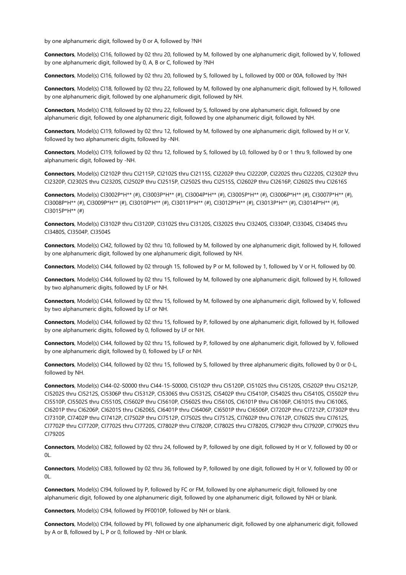by one alphanumeric digit, followed by 0 or A, followed by ?NH

**Connectors**, Model(s) CI16, followed by 02 thru 20, followed by M, followed by one alphanumeric digit, followed by V, followed by one alphanumeric digit, followed by 0, A, B or C, followed by ?NH

**Connectors**, Model(s) CI16, followed by 02 thru 20, followed by S, followed by L, followed by 000 or 00A, followed by ?NH

**Connectors**, Model(s) CI18, followed by 02 thru 22, followed by M, followed by one alphanumeric digit, followed by H, followed by one alphanumeric digit, followed by one alphanumeric digit, followed by NH.

**Connectors**, Model(s) CI18, followed by 02 thru 22, followed by S, followed by one alphanumeric digit, followed by one alphanumeric digit, followed by one alphanumeric digit, followed by one alphanumeric digit, followed by NH.

**Connectors**, Model(s) CI19, followed by 02 thru 12, followed by M, followed by one alphanumeric digit, followed by H or V, followed by two alphanumeric digits, followed by -NH.

**Connectors**, Model(s) CI19, followed by 02 thru 12, followed by S, followed by L0, followed by 0 or 1 thru 9, followed by one alphanumeric digit, followed by -NH.

**Connectors**, Model(s) CI2102P thru CI2115P, CI2102S thru CI2115S, CI2202P thru CI2220P, CI2202S thru CI2220S, CI2302P thru CI2320P, CI2302S thru CI2320S, CI2502P thru CI2515P, CI2502S thru CI2515S, CI2602P thru CI2616P, CI2602S thru CI2616S

**Connectors**, Model(s) CI3002P\*H\*\* (#), CI3003P\*H\*\* (#), CI3004P\*H\*\* (#), CI3005P\*H\*\* (#), CI3006P\*H\*\* (#), CI3007P\*H\*\* (#), CI3008P\*H\*\* (#), CI3009P\*H\*\* (#), CI3010P\*H\*\* (#), CI3011P\*H\*\* (#), CI3012P\*H\*\* (#), CI3013P\*H\*\* (#), CI3014P\*H\*\* (#), CI3015P\*H\*\* (#)

**Connectors**, Model(s) CI3102P thru CI3120P, CI3102S thru CI3120S, CI3202S thru CI3240S, CI3304P, CI3304S, CI3404S thru CI3480S, CI3504P, CI3504S

**Connectors**, Model(s) CI42, followed by 02 thru 10, followed by M, followed by one alphanumeric digit, followed by H, followed by one alphanumeric digit, followed by one alphanumeric digit, followed by NH.

**Connectors**, Model(s) CI44, followed by 02 through 15, followed by P or M, followed by 1, followed by V or H, followed by 00.

**Connectors**, Model(s) CI44, followed by 02 thru 15, followed by M, followed by one alphanumeric digit, followed by H, followed by two alphanumeric digits, followed by LF or NH.

**Connectors**, Model(s) CI44, followed by 02 thru 15, followed by M, followed by one alphanumeric digit, followed by V, followed by two alphanumeric digits, followed by LF or NH.

**Connectors**, Model(s) CI44, followed by 02 thru 15, followed by P, followed by one alphanumeric digit, followed by H, followed by one alphanumeric digits, followed by 0, followed by LF or NH.

**Connectors**, Model(s) CI44, followed by 02 thru 15, followed by P, followed by one alphanumeric digit, followed by V, followed by one alphanumeric digit, followed by 0, followed by LF or NH.

**Connectors**, Model(s) CI44, followed by 02 thru 15, followed by S, followed by three alphanumeric digits, followed by 0 or 0-L, followed by NH.

**Connectors**, Model(s) CI44-02-S0000 thru CI44-15-S0000, CI5102P thru CI5120P, CI5102S thru CI5120S, CI5202P thru CI5212P, CI5202S thru CI5212S, CI5306P thru CI5312P, CI5306S thru CI5312S, CI5402P thru CI5410P, CI5402S thru CI5410S, CI5502P thru CI5510P, CI5502S thru CI5510S, CI5602P thru CI5610P, CI5602S thru CI5610S, CI6101P thru CI6106P, CI6101S thru CI6106S, CI6201P thru CI6206P, CI6201S thru CI6206S, CI6401P thru CI6406P, CI6501P thru CI6506P, CI7202P thru CI7212P, CI7302P thru CI7310P, CI7402P thru CI7412P, CI7502P thru CI7512P, CI7502S thru CI7512S, CI7602P thru CI7612P, CI7602S thru CI7612S, CI7702P thru CI7720P, CI7702S thru CI7720S, CI7802P thru CI7820P, CI7802S thru CI7820S, CI7902P thru CI7920P, CI7902S thru CI7920S

**Connectors**, Model(s) CI82, followed by 02 thru 24, followed by P, followed by one digit, followed by H or V, followed by 00 or 0L.

**Connectors**, Model(s) CI83, followed by 02 thru 36, followed by P, followed by one digit, followed by H or V, followed by 00 or  $\Omega$ 

**Connectors**, Model(s) CI94, followed by P, followed by FC or FM, followed by one alphanumeric digit, followed by one alphanumeric digit, followed by one alphanumeric digit, followed by one alphanumeric digit, followed by NH or blank.

**Connectors**, Model(s) CI94, followed by PF0010P, followed by NH or blank.

**Connectors**, Model(s) CI94, followed by PFI, followed by one alphanumeric digit, followed by one alphanumeric digit, followed by A or B, followed by L, P or 0, followed by -NH or blank.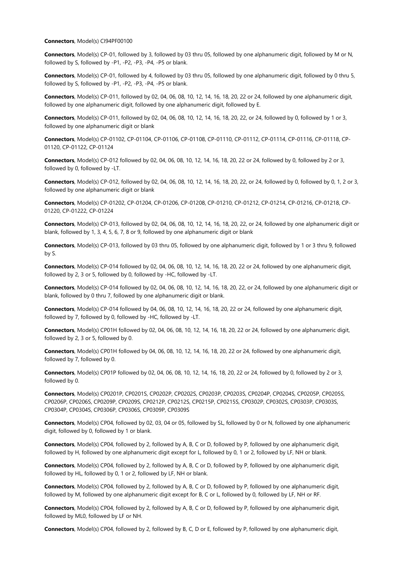#### **Connectors**, Model(s) CI94PF00100

**Connectors**, Model(s) CP-01, followed by 3, followed by 03 thru 05, followed by one alphanumeric digit, followed by M or N, followed by S, followed by -P1, -P2, -P3, -P4, -P5 or blank.

**Connectors**, Model(s) CP-01, followed by 4, followed by 03 thru 05, followed by one alphanumeric digit, followed by 0 thru 5, followed by S, followed by -P1, -P2, -P3, -P4, -P5 or blank.

**Connectors**, Model(s) CP-011, followed by 02, 04, 06, 08, 10, 12, 14, 16, 18, 20, 22 or 24, followed by one alphanumeric digit, followed by one alphanumeric digit, followed by one alphanumeric digit, followed by E.

**Connectors**, Model(s) CP-011, followed by 02, 04, 06, 08, 10, 12, 14, 16, 18, 20, 22, or 24, followed by 0, followed by 1 or 3, followed by one alphanumeric digit or blank

**Connectors**, Model(s) CP-01102, CP-01104, CP-01106, CP-01108, CP-01110, CP-01112, CP-01114, CP-01116, CP-01118, CP-01120, CP-01122, CP-01124

**Connectors**, Model(s) CP-012 followed by 02, 04, 06, 08, 10, 12, 14, 16, 18, 20, 22 or 24, followed by 0, followed by 2 or 3, followed by 0, followed by -LT.

**Connectors**, Model(s) CP-012, followed by 02, 04, 06, 08, 10, 12, 14, 16, 18, 20, 22, or 24, followed by 0, followed by 0, 1, 2 or 3, followed by one alphanumeric digit or blank

**Connectors**, Model(s) CP-01202, CP-01204, CP-01206, CP-01208, CP-01210, CP-01212, CP-01214, CP-01216, CP-01218, CP-01220, CP-01222, CP-01224

**Connectors**, Model(s) CP-013, followed by 02, 04, 06, 08, 10, 12, 14, 16, 18, 20, 22, or 24, followed by one alphanumeric digit or blank, followed by 1, 3, 4, 5, 6, 7, 8 or 9, followed by one alphanumeric digit or blank

**Connectors**, Model(s) CP-013, followed by 03 thru 05, followed by one alphanumeric digit, followed by 1 or 3 thru 9, followed by S.

**Connectors**, Model(s) CP-014 followed by 02, 04, 06, 08, 10, 12, 14, 16, 18, 20, 22 or 24, followed by one alphanumeric digit, followed by 2, 3 or 5, followed by 0, followed by -HC, followed by -LT.

**Connectors**, Model(s) CP-014 followed by 02, 04, 06, 08, 10, 12, 14, 16, 18, 20, 22, or 24, followed by one alphanumeric digit or blank, followed by 0 thru 7, followed by one alphanumeric digit or blank.

**Connectors**, Model(s) CP-014 followed by 04, 06, 08, 10, 12, 14, 16, 18, 20, 22 or 24, followed by one alphanumeric digit, followed by 7, followed by 0, followed by -HC, followed by -LT.

**Connectors**, Model(s) CP01H followed by 02, 04, 06, 08, 10, 12, 14, 16, 18, 20, 22 or 24, followed by one alphanumeric digit, followed by 2, 3 or 5, followed by 0.

**Connectors**, Model(s) CP01H followed by 04, 06, 08, 10, 12, 14, 16, 18, 20, 22 or 24, followed by one alphanumeric digit, followed by 7, followed by 0.

**Connectors**, Model(s) CP01P followed by 02, 04, 06, 08, 10, 12, 14, 16, 18, 20, 22 or 24, followed by 0, followed by 2 or 3, followed by 0.

**Connectors**, Model(s) CP0201P, CP0201S, CP0202P, CP0202S, CP0203P, CP0203S, CP0204P, CP0204S, CP0205P, CP0205S, CP0206P, CP0206S, CP0209P, CP0209S, CP0212P, CP0212S, CP0215P, CP0215S, CP0302P, CP0302S, CP0303P, CP0303S, CP0304P, CP0304S, CP0306P, CP0306S, CP0309P, CP0309S

**Connectors**, Model(s) CP04, followed by 02, 03, 04 or 05, followed by SL, followed by 0 or N, followed by one alphanumeric digit, followed by 0, followed by 1 or blank.

**Connectors**, Model(s) CP04, followed by 2, followed by A, B, C or D, followed by P, followed by one alphanumeric digit, followed by H, followed by one alphanumeric digit except for L, followed by 0, 1 or 2, followed by LF, NH or blank.

**Connectors**, Model(s) CP04, followed by 2, followed by A, B, C or D, followed by P, followed by one alphanumeric digit, followed by HL, followed by 0, 1 or 2, followed by LF, NH or blank.

**Connectors**, Model(s) CP04, followed by 2, followed by A, B, C or D, followed by P, followed by one alphanumeric digit, followed by M, followed by one alphanumeric digit except for B, C or L, followed by 0, followed by LF, NH or RF.

**Connectors**, Model(s) CP04, followed by 2, followed by A, B, C or D, followed by P, followed by one alphanumeric digit, followed by ML0, followed by LF or NH.

**Connectors**, Model(s) CP04, followed by 2, followed by B, C, D or E, followed by P, followed by one alphanumeric digit,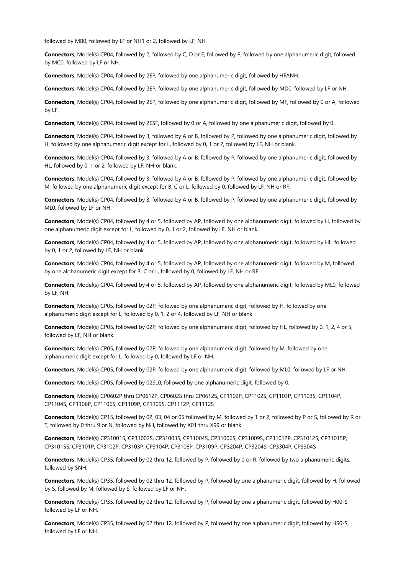followed by MB0, followed by LF or NH1 or 2, followed by LF, NH.

**Connectors**, Model(s) CP04, followed by 2, followed by C, D or E, followed by P, followed by one alphanumeric digit, followed by MC0, followed by LF or NH.

**Connectors**, Model(s) CP04, followed by 2EP, followed by one alphanumeric digit, followed by HFANH.

**Connectors**, Model(s) CP04, followed by 2EP, followed by one alphanumeric digit, followed by MD0, followed by LF or NH.

**Connectors**, Model(s) CP04, followed by 2EP, followed by one alphanumeric digit, followed by MF, followed by 0 or A, followed by LF.

**Connectors**, Model(s) CP04, followed by 2ESF, followed by 0 or A, followed by one alphanumeric digit, followed by 0.

**Connectors**, Model(s) CP04, followed by 3, followed by A or B, followed by P, followed by one alphanumeric digit, followed by H, followed by one alphanumeric digit except for L, followed by 0, 1 or 2, followed by LF, NH or blank.

**Connectors**, Model(s) CP04, followed by 3, followed by A or B, followed by P, followed by one alphanumeric digit, followed by HL, followed by 0, 1 or 2, followed by LF, NH or blank.

**Connectors**, Model(s) CP04, followed by 3, followed by A or B, followed by P, followed by one alphanumeric digit, followed by M, followed by one alphanumeric digit except for B, C or L, followed by 0, followed by LF, NH or RF.

**Connectors**, Model(s) CP04, followed by 3, followed by A or B, followed by P, followed by one alphanumeric digit, followed by ML0, followed by LF or NH.

**Connectors**, Model(s) CP04, followed by 4 or 5, followed by AP, followed by one alphanumeric digit, followed by H, followed by one alphanumeric digit except for L, followed by 0, 1 or 2, followed by LF, NH or blank.

**Connectors**, Model(s) CP04, followed by 4 or 5, followed by AP, followed by one alphanumeric digit, followed by HL, followed by 0, 1 or 2, followed by LF, NH or blank.

**Connectors**, Model(s) CP04, followed by 4 or 5, followed by AP, followed by one alphanumeric digit, followed by M, followed by one alphanumeric digit except for B, C or L, followed by 0, followed by LF, NH or RF.

**Connectors**, Model(s) CP04, followed by 4 or 5, followed by AP, followed by one alphanumeric digit, followed by ML0, followed by LF, NH.

**Connectors**, Model(s) CP05, followed by 02P, followed by one alphanumeric digit, followed by H, followed by one alphanumeric digit except for L, followed by 0, 1, 2 or 4, followed by LF, NH or blank.

**Connectors**, Model(s) CP05, followed by 02P, followed by one alphanumeric digit, followed by HL, followed by 0, 1, 2, 4 or 5, followed by LF, NH or blank.

**Connectors**, Model(s) CP05, followed by 02P, followed by one alphanumeric digit, followed by M, followed by one alphanumeric digit except for L, followed by 0, followed by LF or NH.

**Connectors**, Model(s) CP05, followed by 02P, followed by one alphanumeric digit, followed by ML0, followed by LF or NH.

**Connectors**, Model(s) CP05, followed by 02SL0, followed by one alphanumeric digit, followed by 0.

**Connectors**, Model(s) CP0602P thru CP0612P, CP0602S thru CP0612S, CP1102P, CP1102S, CP1103P, CP1103S, CP1104P, CP1104S, CP1106P, CP1106S, CP1109P, CP1109S, CP1112P, CP1112S

**Connectors**, Model(s) CP15, followed by 02, 03, 04 or 05 followed by M, followed by 1 or 2, followed by P or S, followed by R or T, followed by 0 thru 9 or N, followed by NH, followed by X01 thru X99 or blank.

**Connectors**, Model(s) CP31001S, CP31002S, CP31003S, CP31004S, CP31006S, CP31009S, CP31012P, CP31012S, CP31015P, CP31015S, CP3101P, CP3102P, CP3103P, CP3104P, CP3106P, CP3109P, CP3204P, CP3204S, CP3304P, CP3304S

**Connectors**, Model(s) CP35, followed by 02 thru 12, followed by P, followed by 0 or R, followed by two alphanumeric digits, followed by SNH.

**Connectors**, Model(s) CP35, followed by 02 thru 12, followed by P, followed by one alphanumeric digit, followed by H, followed by S, followed by M, followed by S, followed by LF or NH.

**Connectors**, Model(s) CP35, followed by 02 thru 12, followed by P, followed by one alphanumeric digit, followed by H00-S, followed by LF or NH.

**Connectors**, Model(s) CP35, followed by 02 thru 12, followed by P, followed by one alphanumeric digit, followed by HS0-S, followed by LF or NH.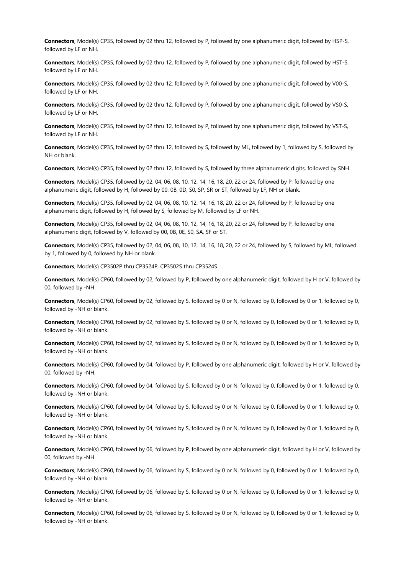**Connectors**, Model(s) CP35, followed by 02 thru 12, followed by P, followed by one alphanumeric digit, followed by HSP-S, followed by LF or NH.

**Connectors**, Model(s) CP35, followed by 02 thru 12, followed by P, followed by one alphanumeric digit, followed by HST-S, followed by LF or NH.

**Connectors**, Model(s) CP35, followed by 02 thru 12, followed by P, followed by one alphanumeric digit, followed by V00-S, followed by LF or NH.

**Connectors**, Model(s) CP35, followed by 02 thru 12, followed by P, followed by one alphanumeric digit, followed by VS0-S, followed by LF or NH.

**Connectors**, Model(s) CP35, followed by 02 thru 12, followed by P, followed by one alphanumeric digit, followed by VST-S, followed by LF or NH.

**Connectors**, Model(s) CP35, followed by 02 thru 12, followed by S, followed by ML, followed by 1, followed by S, followed by NH or blank.

**Connectors**, Model(s) CP35, followed by 02 thru 12, followed by S, followed by three alphanumeric digits, followed by SNH.

**Connectors**, Model(s) CP35, followed by 02, 04, 06, 08, 10, 12, 14, 16, 18, 20, 22 or 24, followed by P, followed by one alphanumeric digit, followed by H, followed by 00, 0B, 0D, S0, SP, SR or ST, followed by LF, NH or blank.

**Connectors**, Model(s) CP35, followed by 02, 04, 06, 08, 10, 12, 14, 16, 18, 20, 22 or 24, followed by P, followed by one alphanumeric digit, followed by H, followed by S, followed by M, followed by LF or NH.

**Connectors**, Model(s) CP35, followed by 02, 04, 06, 08, 10, 12, 14, 16, 18, 20, 22 or 24, followed by P, followed by one alphanumeric digit, followed by V, followed by 00, 0B, 0E, S0, SA, SF or ST.

**Connectors**, Model(s) CP35, followed by 02, 04, 06, 08, 10, 12, 14, 16, 18, 20, 22 or 24, followed by S, followed by ML, followed by 1, followed by 0, followed by NH or blank.

**Connectors**, Model(s) CP3502P thru CP3524P, CP3502S thru CP3524S

**Connectors**, Model(s) CP60, followed by 02, followed by P, followed by one alphanumeric digit, followed by H or V, followed by 00, followed by -NH.

**Connectors**, Model(s) CP60, followed by 02, followed by S, followed by 0 or N, followed by 0, followed by 0 or 1, followed by 0, followed by -NH or blank.

**Connectors**, Model(s) CP60, followed by 02, followed by S, followed by 0 or N, followed by 0, followed by 0 or 1, followed by 0, followed by -NH or blank.

**Connectors**, Model(s) CP60, followed by 02, followed by S, followed by 0 or N, followed by 0, followed by 0 or 1, followed by 0, followed by -NH or blank.

**Connectors**, Model(s) CP60, followed by 04, followed by P, followed by one alphanumeric digit, followed by H or V, followed by 00, followed by -NH.

**Connectors**, Model(s) CP60, followed by 04, followed by S, followed by 0 or N, followed by 0, followed by 0 or 1, followed by 0, followed by -NH or blank.

**Connectors**, Model(s) CP60, followed by 04, followed by S, followed by 0 or N, followed by 0, followed by 0 or 1, followed by 0, followed by -NH or blank.

**Connectors**, Model(s) CP60, followed by 04, followed by S, followed by 0 or N, followed by 0, followed by 0 or 1, followed by 0, followed by -NH or blank.

**Connectors**, Model(s) CP60, followed by 06, followed by P, followed by one alphanumeric digit, followed by H or V, followed by 00, followed by -NH.

**Connectors**, Model(s) CP60, followed by 06, followed by S, followed by 0 or N, followed by 0, followed by 0 or 1, followed by 0, followed by -NH or blank.

**Connectors**, Model(s) CP60, followed by 06, followed by S, followed by 0 or N, followed by 0, followed by 0 or 1, followed by 0, followed by -NH or blank.

**Connectors**, Model(s) CP60, followed by 06, followed by S, followed by 0 or N, followed by 0, followed by 0 or 1, followed by 0, followed by -NH or blank.